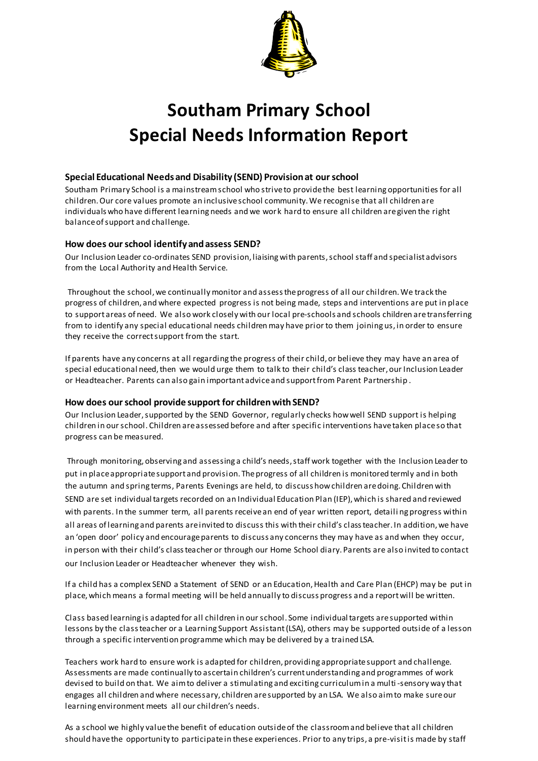

# **Southam Primary School Special Needs Information Report**

#### **Special Educational Needs and Disability (SEND) Provision at our school**

Southam Primary School is a mainstream school who strive to provide the best learning opportunities for all children. Our core values promote an inclusive school community. We recognise that all children are individuals who have different learning needs and we work hard to ensure all children are given the right balance of support and challenge.

## **How does our school identify and assess SEND?**

Our Inclusion Leader co-ordinates SEND provision, liaising with parents, school staff and specialist advisors from the Local Authority and Health Service.

Throughout the school, we continually monitor and assess the progress of all our children. We track the progress of children, and where expected progress is not being made, steps and interventions are put in place to support areas of need. We also work closely with our local pre-schools and schools children are transferring from to identify any special educational needs children may have prior to them joining us, in order to ensure they receive the correct support from the start.

If parents have any concerns at all regarding the progress of their child, or believe they may have an area of special educational need, then we would urge them to talk to their child's class teacher, our Inclusion Leader or Headteacher. Parents can also gain important advice and support from Parent Partnership .

#### **How does our school provide support for children with SEND?**

Our Inclusion Leader, supported by the SEND Governor, regularly checks how well SEND support is helping children in our school. Children are assessed before and after specific interventions have taken place so that progress can be measured.

Through monitoring, observing and assessing a child's needs, staff work together with the Inclusion Leader to put in place appropriate support and provision. The progress of all children is monitored termly and in both the autumn and spring terms, Parents Evenings are held, to discuss how children are doing. Children with SEND are set individual targets recorded on an Individual Education Plan (IEP), which is shared and reviewed with parents. In the summer term, all parents receive an end of year written report, detaili ng progress within all areas of learning and parents are invited to discuss this with their child's class teacher. In addition, we have an 'open door' policy and encourage parents to discuss any concerns they may have as and when they occur, in person with their child's class teacher or through our Home School diary. Parents are also invited to contact our Inclusion Leader or Headteacher whenever they wish.

If a child has a complex SEND a Statement of SEND or an Education, Health and Care Plan (EHCP) may be put in place, which means a formal meeting will be held annually to discuss progress and a report will be written.

Class based learning is adapted for all children in our school. Some individual targets are supported within lessons by the class teacher or a Learning Support Assistant (LSA), others may be supported outside of a lesson through a specific intervention programme which may be delivered by a trained LSA.

Teachers work hard to ensure work is adapted for children, providing appropriate support and challenge. Assessments are made continually to ascertain children's current understanding and programmes of work devised to build on that. We aim to deliver a stimulating and exciting curriculum in a multi -sensory way that engages all children and where necessary, children are supported by an LSA. We also aim to make sure our learning environment meets all our children's needs.

As a school we highly value the benefit of education outside of the classroom and believe that all children should have the opportunity to participate in these experiences. Prior to any trips, a pre-visit is made by staff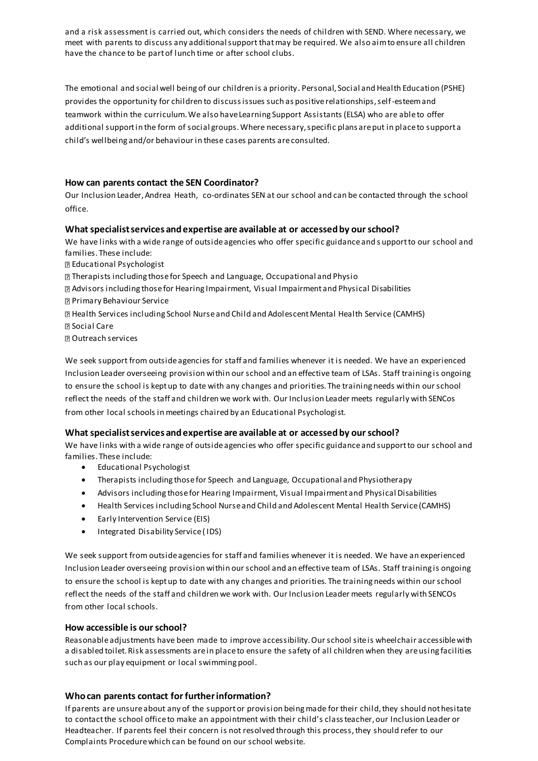and a risk assessment is carried out, which considers the needs of children with SEND. Where necessary, we meet with parents to discuss any additional support that may be required. We also aim to ensure all children have the chance to be part of lunch time or after school clubs.

The emotional and social well being of our children is a priority. Personal, Social and Health Education (PSHE) provides the opportunity for children to discuss issues such as positive relationships, self-esteem and teamwork within the curriculum. We also have Learning Support Assistants (ELSA) who are able to offer additional support in the form of social groups. Where necessary, specific plans are put in place to support a child's wellbeing and/or behaviour in these cases parents are consulted.

### **How can parents contact the SEN Coordinator?**

Our Inclusion Leader, Andrea Heath, co-ordinates SEN at our school and can be contacted through the school office.

#### **What specialist services and expertise are available at or accessed by our school?**

We have links with a wide range of outside agencies who offer specific guidance and s upport to our school and families. These include:

Educational Psychologist

Therapists including those for Speech and Language, Occupational and Physio

Advisors including those for Hearing Impairment, Visual Impairment and Physical Disabilities Primary Behaviour Service

Health Services including School Nurse and Child and Adolescent Mental Health Service (CAMHS) Social Care

Outreach services

We seek support from outside agencies for staff and families whenever it is needed. We have an experienced Inclusion Leader overseeing provision within our school and an effective team of LSAs. Staff training is ongoing to ensure the school is kept up to date with any changes and priorities. The training needs within our school reflect the needs of the staff and children we work with. Our Inclusion Leader meets regularly with SENCos from other local schools in meetings chaired by an Educational Psychologist.

#### **What specialist services and expertise are available at or accessed by our school?**

We have links with a wide range of outside agencies who offer specific guidance and support to our school and families. These include:

- Educational Psychologist
- Therapists including those for Speech and Language, Occupational and Physiotherapy
- Advisors including those for Hearing Impairment, Visual Impairment and Physical Disabilities
- Health Services including School Nurse and Child and Adolescent Mental Health Service (CAMHS)
- Early Intervention Service (EIS)
- Integrated Disability Service (IDS)

We seek support from outside agencies for staff and families whenever it is needed. We have an experienced Inclusion Leader overseeing provision within our school and an effective team of LSAs. Staff training is ongoing to ensure the school is kept up to date with any changes and priorities. The training needs within our school reflect the needs of the staff and children we work with. Our Inclusion Leader meets regularly with SENCOs from other local schools.

#### **How accessible is our school?**

Reasonable adjustments have been made to improve accessibility. Our school site is wheelchair accessible with a disabled toilet. Risk assessments are in place to ensure the safety of all children when they are using facilities such as our play equipment or local swimming pool.

#### **Who can parents contact for further information?**

If parents are unsure about any of the support or provision being made for their child, they should not hesitate to contact the school office to make an appointment with their child's class teacher, our Inclusion Leader or Headteacher. If parents feel their concern is not resolved through this process, they should refer to our Complaints Procedure which can be found on our school website.